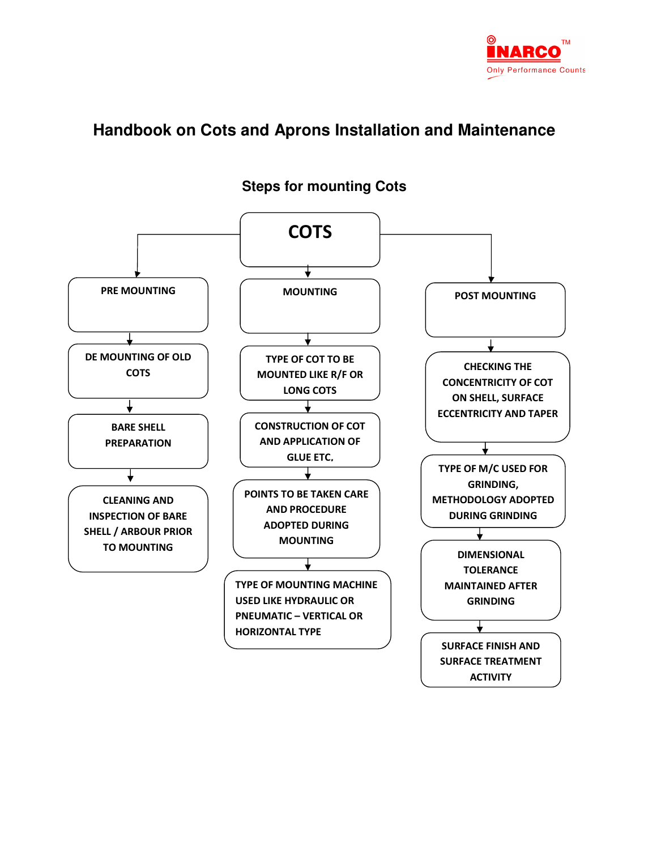

# **Handbook on Cots and Aprons Installation and Maintenance**



### **Steps for mounting Cots**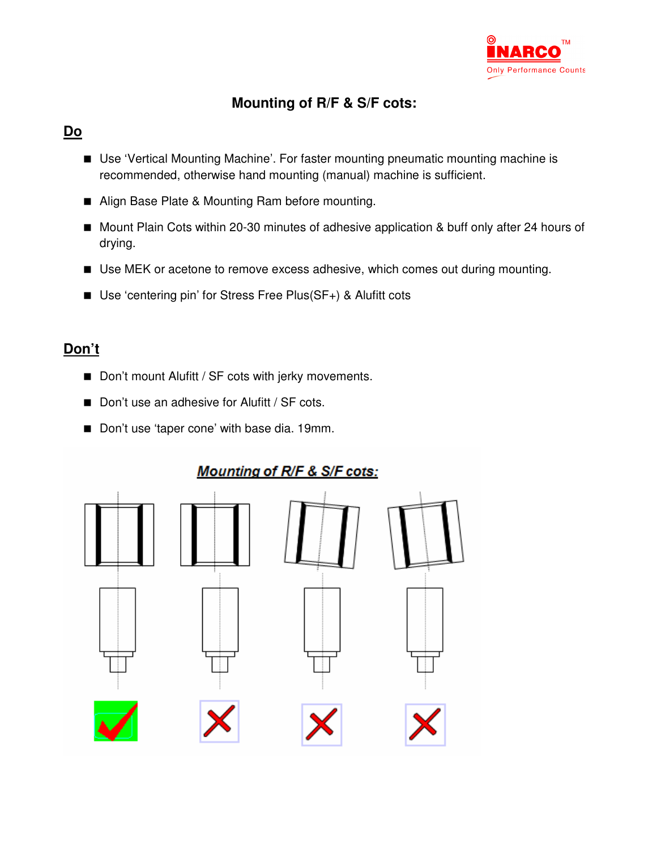

## **Mounting of R/F & S/F cots:**

## **Do**

- Use 'Vertical Mounting Machine'. For faster mounting pneumatic mounting machine is recommended, otherwise hand mounting (manual) machine is sufficient.
- Align Base Plate & Mounting Ram before mounting.
- Mount Plain Cots within 20-30 minutes of adhesive application & buff only after 24 hours of drying.
- Use MEK or acetone to remove excess adhesive, which comes out during mounting.
- Use 'centering pin' for Stress Free Plus(SF+) & Alufitt cots

## **Don't**

- Don't mount Alufitt / SF cots with jerky movements.
- Don't use an adhesive for Alufitt / SF cots.
- Don't use 'taper cone' with base dia. 19mm.

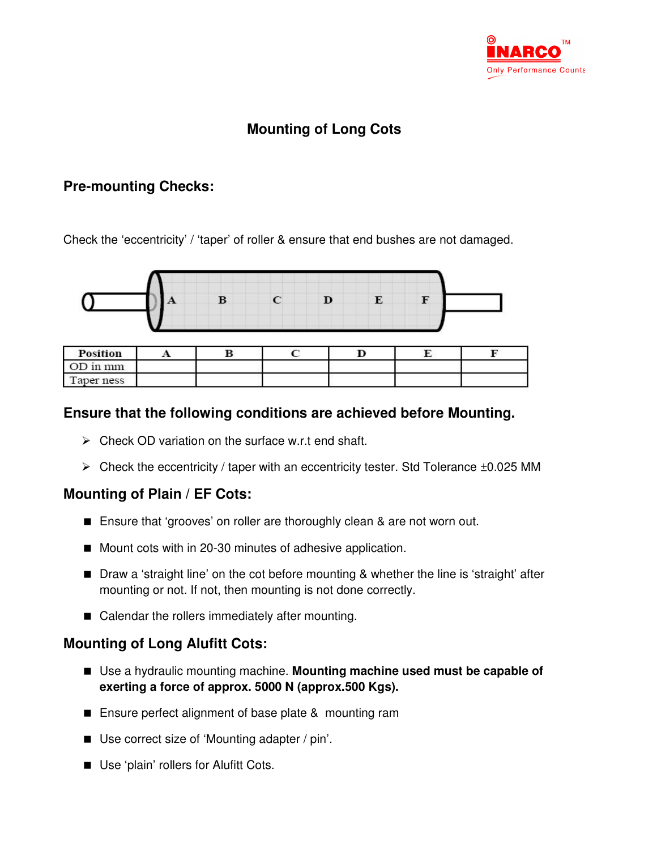

# **Mounting of Long Cots**

### **Pre-mounting Checks:**

Check the 'eccentricity' / 'taper' of roller & ensure that end bushes are not damaged.



| <b>Position</b> | $\sim$ $\sim$ | ÷ |  |  |
|-----------------|---------------|---|--|--|
| OD in mm        |               |   |  |  |
| Taper ness      |               |   |  |  |

### **Ensure that the following conditions are achieved before Mounting.**

- $\triangleright$  Check OD variation on the surface w.r.t end shaft.
- $\triangleright$  Check the eccentricity / taper with an eccentricity tester. Std Tolerance  $\pm 0.025$  MM

### **Mounting of Plain / EF Cots:**

- Ensure that 'grooves' on roller are thoroughly clean & are not worn out.
- Mount cots with in 20-30 minutes of adhesive application.
- Draw a 'straight line' on the cot before mounting & whether the line is 'straight' after mounting or not. If not, then mounting is not done correctly.
- Calendar the rollers immediately after mounting.

### **Mounting of Long Alufitt Cots:**

- Use a hydraulic mounting machine. **Mounting machine used must be capable of exerting a force of approx. 5000 N (approx.500 Kgs).**
- Ensure perfect alignment of base plate &mounting ram
- Use correct size of 'Mounting adapter / pin'.
- Use 'plain' rollers for Alufitt Cots.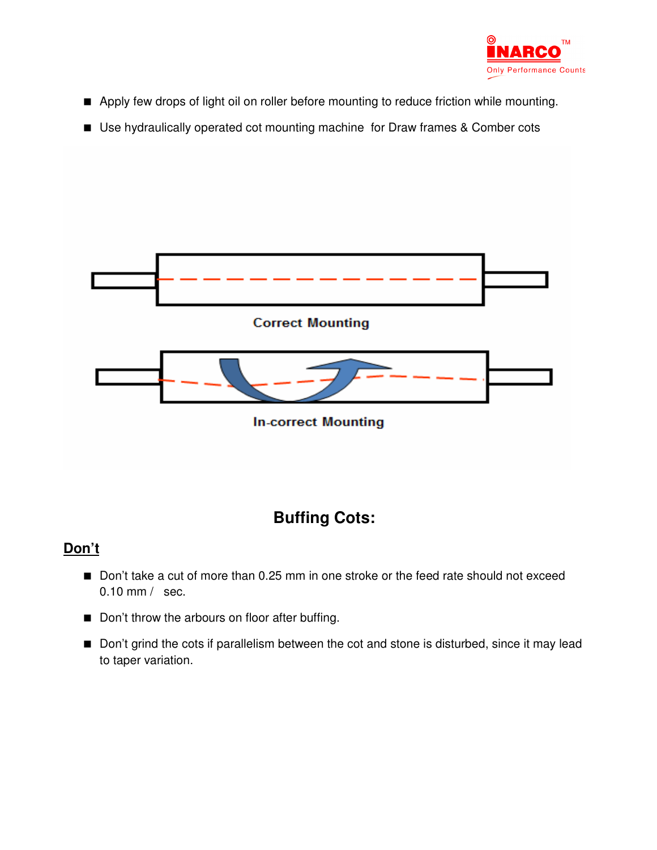

- Apply few drops of light oil on roller before mounting to reduce friction while mounting.
- Use hydraulically operated cot mounting machine for Draw frames & Comber cots



# **Buffing Cots:**

## **Don't**

- Don't take a cut of more than 0.25 mm in one stroke or the feed rate should not exceed 0.10 mm / sec.
- Don't throw the arbours on floor after buffing.
- Don't grind the cots if parallelism between the cot and stone is disturbed, since it may lead to taper variation.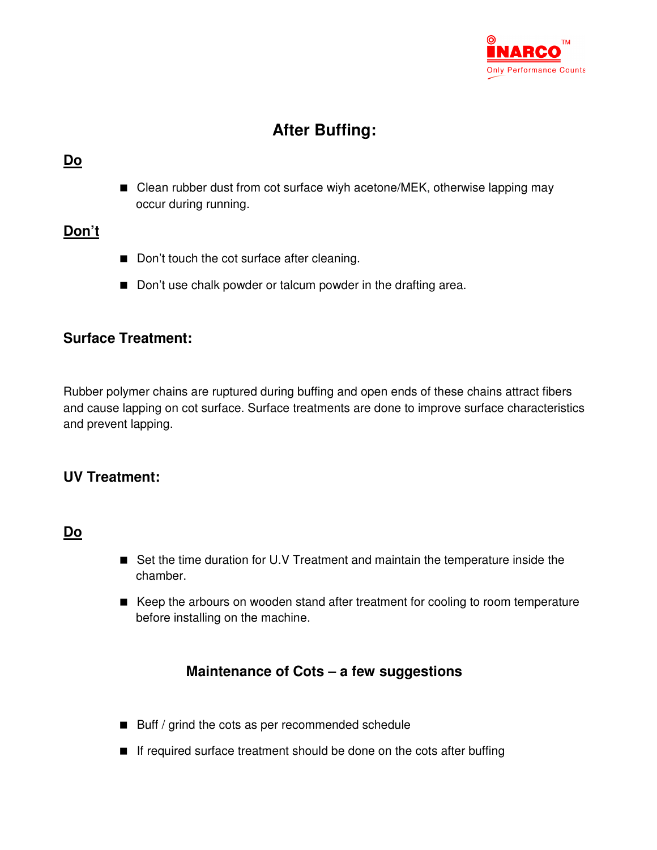

# **After Buffing:**

#### **Do**

■ Clean rubber dust from cot surface wiyh acetone/MEK, otherwise lapping may occur during running.

### **Don't**

- Don't touch the cot surface after cleaning.
- Don't use chalk powder or talcum powder in the drafting area.

### **Surface Treatment:**

Rubber polymer chains are ruptured during buffing and open ends of these chains attract fibers and cause lapping on cot surface. Surface treatments are done to improve surface characteristics and prevent lapping.

### **UV Treatment:**

#### **Do**

- Set the time duration for U.V Treatment and maintain the temperature inside the chamber.
- Keep the arbours on wooden stand after treatment for cooling to room temperature before installing on the machine.

### **Maintenance of Cots – a few suggestions**

- Buff / grind the cots as per recommended schedule
- If required surface treatment should be done on the cots after buffing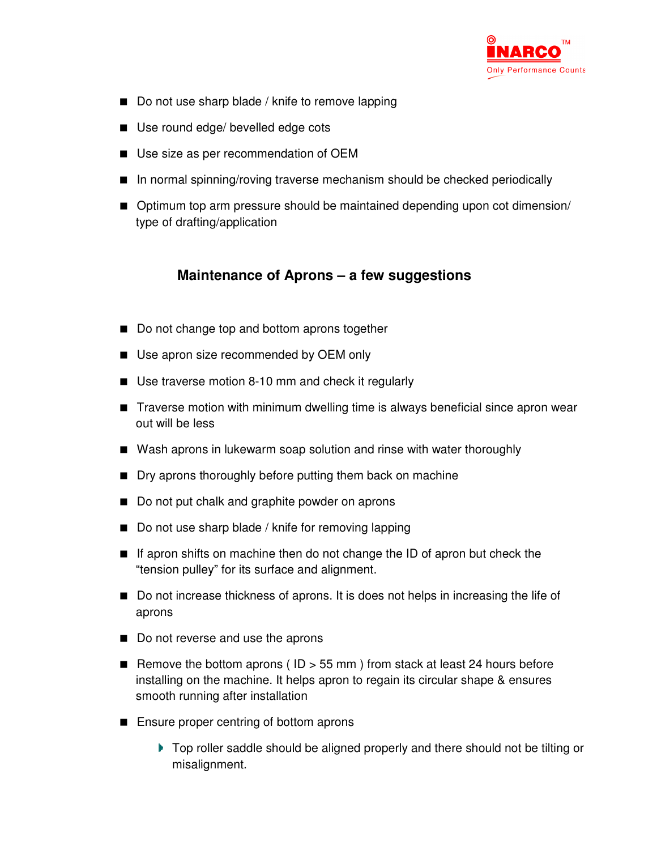

- Do not use sharp blade / knife to remove lapping
- Use round edge/ bevelled edge cots
- Use size as per recommendation of OEM
- In normal spinning/roving traverse mechanism should be checked periodically
- Optimum top arm pressure should be maintained depending upon cot dimension/ type of drafting/application

### **Maintenance of Aprons – a few suggestions**

- Do not change top and bottom aprons together
- Use apron size recommended by OEM only
- Use traverse motion 8-10 mm and check it regularly
- Traverse motion with minimum dwelling time is always beneficial since apron wear out will be less
- Wash aprons in lukewarm soap solution and rinse with water thoroughly
- **Dry aprons thoroughly before putting them back on machine**
- Do not put chalk and graphite powder on aprons
- Do not use sharp blade / knife for removing lapping
- If apron shifts on machine then do not change the ID of apron but check the "tension pulley" for its surface and alignment.
- Do not increase thickness of aprons. It is does not helps in increasing the life of aprons
- Do not reverse and use the aprons
- Remove the bottom aprons ( $ID > 55$  mm) from stack at least 24 hours before installing on the machine. It helps apron to regain its circular shape & ensures smooth running after installation
- Ensure proper centring of bottom aprons
	- ▶ Top roller saddle should be aligned properly and there should not be tilting or misalignment.